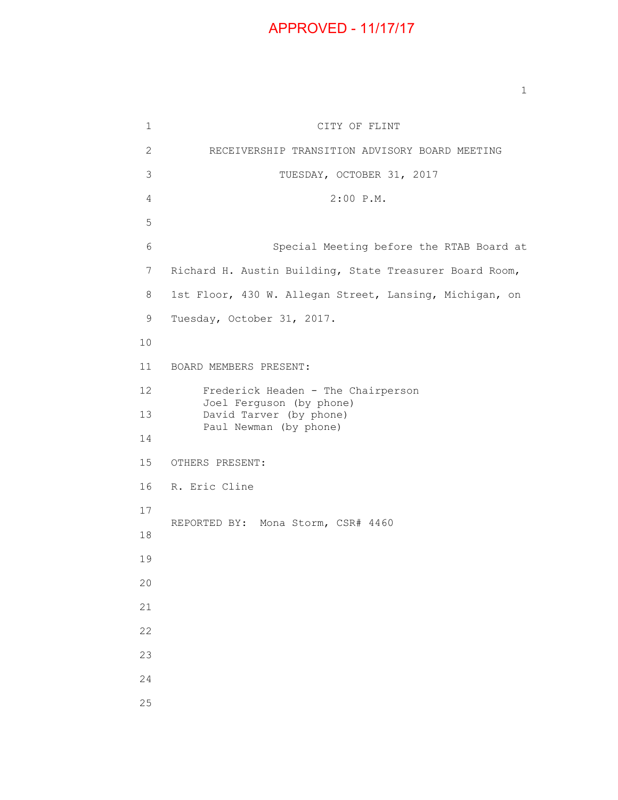## APPROVED - 11/17/17

1 CITY OF FLINT 2 RECEIVERSHIP TRANSITION ADVISORY BOARD MEETING 3 TUESDAY, OCTOBER 31, 2017 4 2:00 P.M. 5 6 Special Meeting before the RTAB Board at 7 Richard H. Austin Building, State Treasurer Board Room, 8 1st Floor, 430 W. Allegan Street, Lansing, Michigan, on 9 Tuesday, October 31, 2017. 10 11 BOARD MEMBERS PRESENT: 12 Frederick Headen - The Chairperson Joel Ferguson (by phone) 13 David Tarver (by phone) Paul Newman (by phone) 14 15 OTHERS PRESENT: 16 R. Eric Cline 17 REPORTED BY: Mona Storm, CSR# 4460 18 19 20 21 22 23 24 25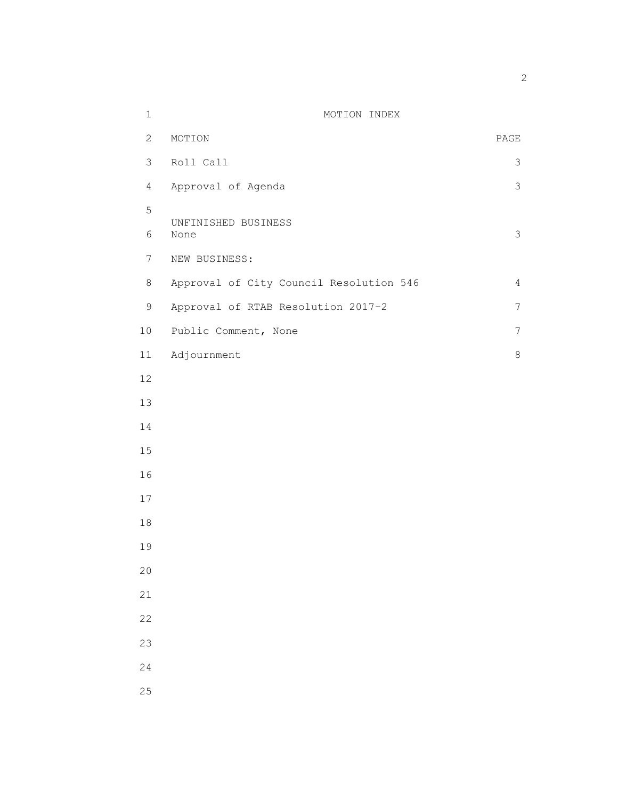| $\mathbf 1$    | MOTION INDEX                            |                          |
|----------------|-----------------------------------------|--------------------------|
| $\overline{2}$ | MOTION                                  | $\mathop{\mathtt{PAGE}}$ |
| $\mathfrak{Z}$ | Roll Call                               | 3                        |
| $\overline{4}$ | Approval of Agenda                      | $\mathsf 3$              |
| 5              | UNFINISHED BUSINESS                     |                          |
| 6              | None                                    | $\mathfrak{Z}$           |
| $7\phantom{.}$ | NEW BUSINESS:                           |                          |
| $8\,$          | Approval of City Council Resolution 546 | $\overline{4}$           |
| $\mathsf 9$    | Approval of RTAB Resolution 2017-2      | $\overline{7}$           |
| $10$           | Public Comment, None                    | $\overline{7}$           |
| 11             | Adjournment                             | $\,8\,$                  |
| 12             |                                         |                          |
| 13             |                                         |                          |
| 14             |                                         |                          |
| 15             |                                         |                          |
| 16             |                                         |                          |
| 17             |                                         |                          |
| 18             |                                         |                          |
| 19             |                                         |                          |
| 20             |                                         |                          |
| 21             |                                         |                          |
| 22             |                                         |                          |
| 23             |                                         |                          |
| 24             |                                         |                          |
| 25             |                                         |                          |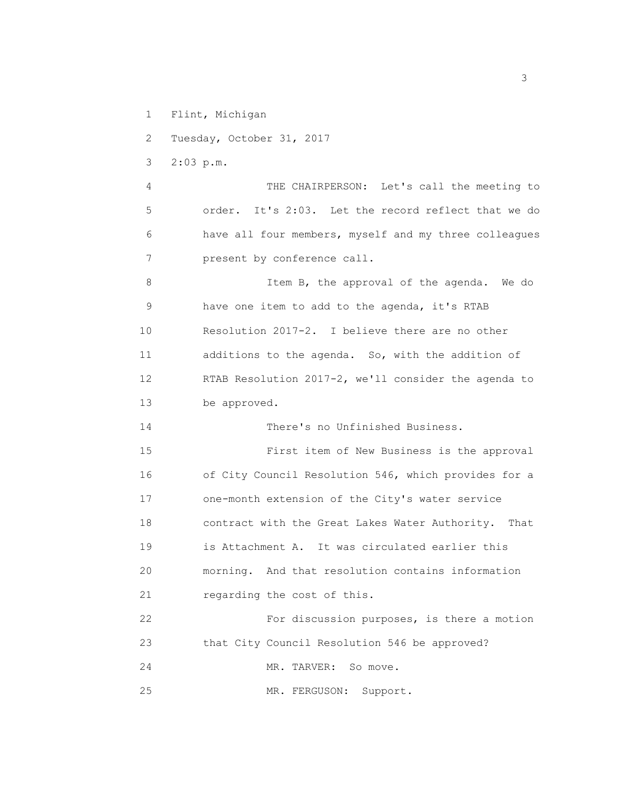1 Flint, Michigan

2 Tuesday, October 31, 2017

3 2:03 p.m.

 4 THE CHAIRPERSON: Let's call the meeting to 5 order. It's 2:03. Let the record reflect that we do 6 have all four members, myself and my three colleagues 7 present by conference call.

8 Item B, the approval of the agenda. We do 9 have one item to add to the agenda, it's RTAB 10 Resolution 2017-2. I believe there are no other 11 additions to the agenda. So, with the addition of 12 RTAB Resolution 2017-2, we'll consider the agenda to 13 be approved.

14 There's no Unfinished Business.

 15 First item of New Business is the approval 16 of City Council Resolution 546, which provides for a 17 one-month extension of the City's water service 18 contract with the Great Lakes Water Authority. That 19 is Attachment A. It was circulated earlier this 20 morning. And that resolution contains information 21 regarding the cost of this.

 22 For discussion purposes, is there a motion 23 that City Council Resolution 546 be approved? 24 MR. TARVER: So move.

25 MR. FERGUSON: Support.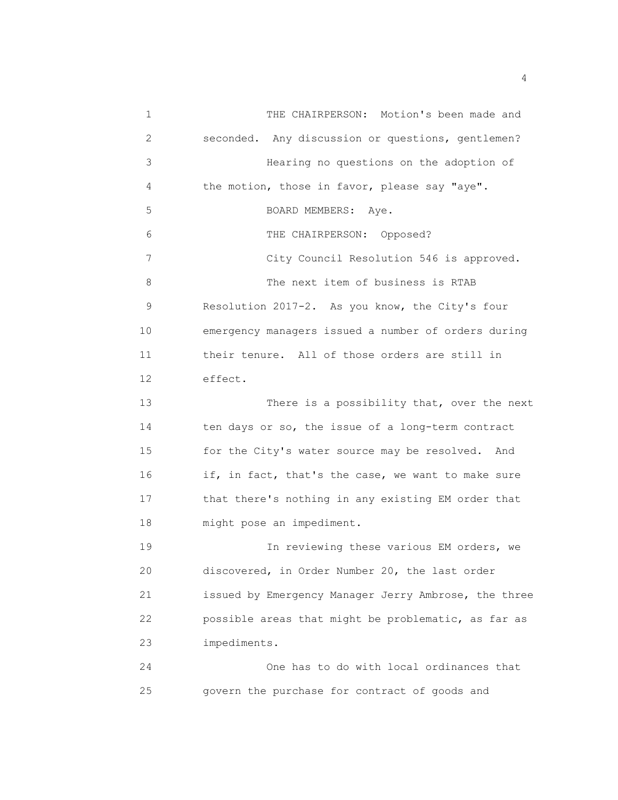1 THE CHAIRPERSON: Motion's been made and 2 seconded. Any discussion or questions, gentlemen? 3 Hearing no questions on the adoption of 4 the motion, those in favor, please say "aye". 5 BOARD MEMBERS: Aye. 6 THE CHAIRPERSON: Opposed? 7 City Council Resolution 546 is approved. 8 The next item of business is RTAB 9 Resolution 2017-2. As you know, the City's four 10 emergency managers issued a number of orders during 11 their tenure. All of those orders are still in 12 effect. 13 There is a possibility that, over the next 14 ten days or so, the issue of a long-term contract 15 for the City's water source may be resolved. And 16 if, in fact, that's the case, we want to make sure 17 that there's nothing in any existing EM order that 18 might pose an impediment. 19 19 In reviewing these various EM orders, we 20 discovered, in Order Number 20, the last order 21 issued by Emergency Manager Jerry Ambrose, the three 22 possible areas that might be problematic, as far as 23 impediments. 24 One has to do with local ordinances that 25 govern the purchase for contract of goods and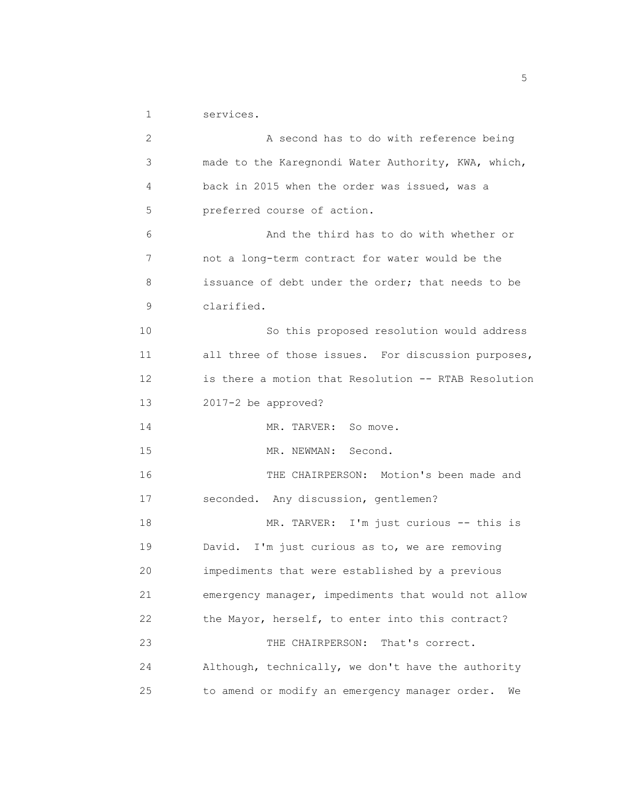1 services.

| $\mathbf{2}$ | A second has to do with reference being              |
|--------------|------------------------------------------------------|
| 3            | made to the Karegnondi Water Authority, KWA, which,  |
| 4            | back in 2015 when the order was issued, was a        |
| 5            | preferred course of action.                          |
| 6            | And the third has to do with whether or              |
| 7            | not a long-term contract for water would be the      |
| 8            | issuance of debt under the order; that needs to be   |
| 9            | clarified.                                           |
| 10           | So this proposed resolution would address            |
| 11           | all three of those issues. For discussion purposes,  |
| 12           | is there a motion that Resolution -- RTAB Resolution |
| 13           | 2017-2 be approved?                                  |
| 14           | MR. TARVER: So move.                                 |
| 15           | MR. NEWMAN:<br>Second.                               |
| 16           | THE CHAIRPERSON: Motion's been made and              |
| 17           | seconded. Any discussion, gentlemen?                 |
| 18           | MR. TARVER: I'm just curious -- this is              |
| 19           | David. I'm just curious as to, we are removing       |
| 20           | impediments that were established by a previous      |
| 21           | emergency manager, impediments that would not allow  |
| 22           | the Mayor, herself, to enter into this contract?     |
| 23           | THE CHAIRPERSON:<br>That's correct.                  |
| 24           | Although, technically, we don't have the authority   |
| 25           | to amend or modify an emergency manager order.<br>We |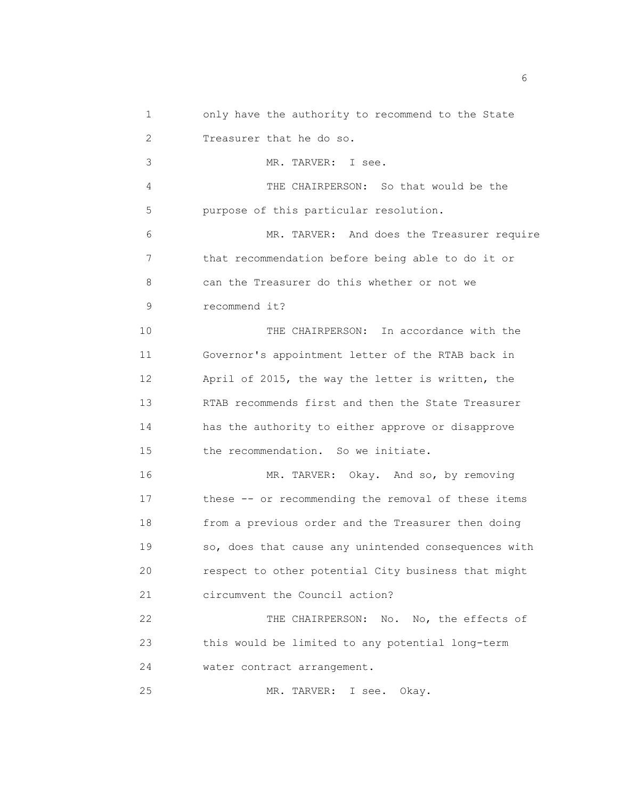- 1 only have the authority to recommend to the State 2 Treasurer that he do so.
- 3 MR. TARVER: I see.

 4 THE CHAIRPERSON: So that would be the 5 purpose of this particular resolution.

 6 MR. TARVER: And does the Treasurer require 7 that recommendation before being able to do it or 8 can the Treasurer do this whether or not we 9 recommend it?

 10 THE CHAIRPERSON: In accordance with the 11 Governor's appointment letter of the RTAB back in 12 April of 2015, the way the letter is written, the 13 RTAB recommends first and then the State Treasurer 14 has the authority to either approve or disapprove 15 the recommendation. So we initiate.

 16 MR. TARVER: Okay. And so, by removing 17 these -- or recommending the removal of these items 18 from a previous order and the Treasurer then doing 19 so, does that cause any unintended consequences with 20 respect to other potential City business that might 21 circumvent the Council action?

 22 THE CHAIRPERSON: No. No, the effects of 23 this would be limited to any potential long-term 24 water contract arrangement.

25 MR. TARVER: I see. Okay.

 $\sim$  6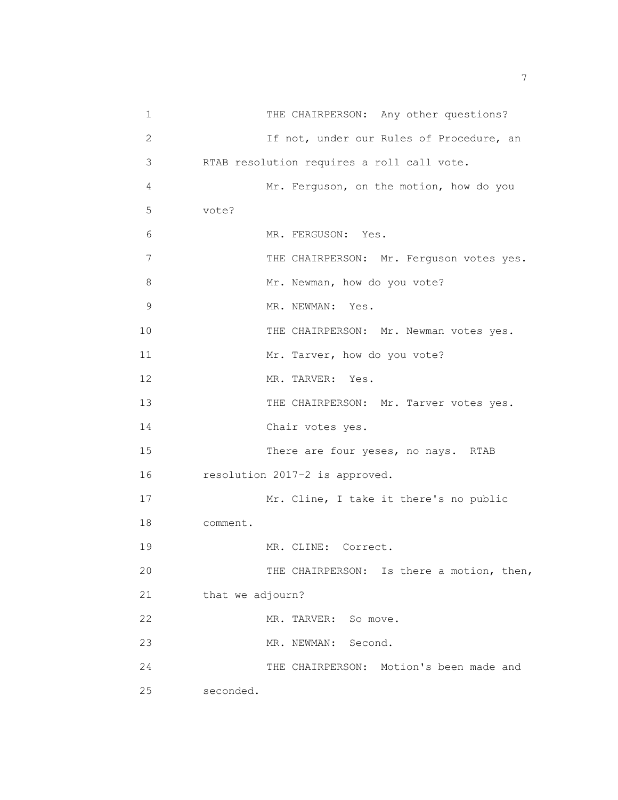| 1            | THE CHAIRPERSON: Any other questions?      |
|--------------|--------------------------------------------|
| $\mathbf{2}$ | If not, under our Rules of Procedure, an   |
| 3            | RTAB resolution requires a roll call vote. |
| 4            | Mr. Ferguson, on the motion, how do you    |
| 5            | vote?                                      |
| 6            | MR. FERGUSON: Yes.                         |
| 7            | THE CHAIRPERSON: Mr. Ferguson votes yes.   |
| 8            | Mr. Newman, how do you vote?               |
| 9            | MR. NEWMAN: Yes.                           |
| 10           | THE CHAIRPERSON: Mr. Newman votes yes.     |
| 11           | Mr. Tarver, how do you vote?               |
| 12           | MR. TARVER: Yes.                           |
| 13           | THE CHAIRPERSON: Mr. Tarver votes yes.     |
| 14           | Chair votes yes.                           |
| 15           | There are four yeses, no nays. RTAB        |
| 16           | resolution 2017-2 is approved.             |
| 17           | Mr. Cline, I take it there's no public     |
| 18           | comment.                                   |
| 19           | MR. CLINE: Correct.                        |
| 20           | THE CHAIRPERSON: Is there a motion, then,  |
| 21           | that we adjourn?                           |
| 22           | MR. TARVER: So move.                       |
| 23           | MR. NEWMAN:<br>Second.                     |
| 24           | THE CHAIRPERSON: Motion's been made and    |
| 25           | seconded.                                  |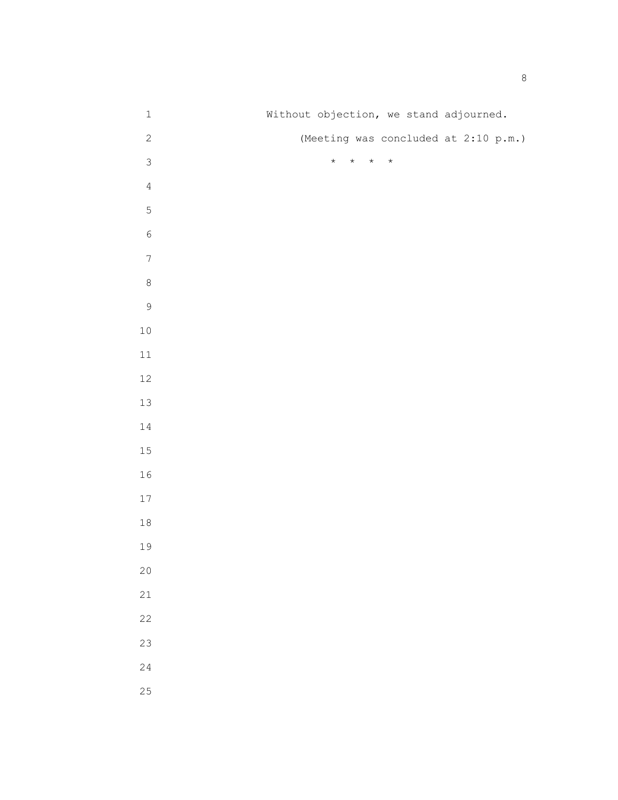| $\ensuremath{\mathbbm{1}}$ | Without objection, we stand adjourned.   |
|----------------------------|------------------------------------------|
| $\mathbf{2}$               | (Meeting was concluded at 2:10 p.m.)     |
| $\mathcal{S}$              | $\star$<br>$\star$<br>$\star$<br>$\star$ |
| $\sqrt{4}$                 |                                          |
| $\mathsf S$                |                                          |
| $\epsilon$                 |                                          |
| $\boldsymbol{7}$           |                                          |
| $\,8\,$                    |                                          |
| $\mathsf 9$                |                                          |
| $10\,$                     |                                          |
| $11\,$                     |                                          |
| $12\,$                     |                                          |
| $13\,$                     |                                          |
| $1\,4$                     |                                          |
| $15\,$                     |                                          |
| $1\,6$                     |                                          |
| $17\,$                     |                                          |
| $1\,8$                     |                                          |
| $19$                       |                                          |
| $20$                       |                                          |
| 21                         |                                          |
| 22                         |                                          |
| 23                         |                                          |
| 24                         |                                          |
| 25                         |                                          |
|                            |                                          |